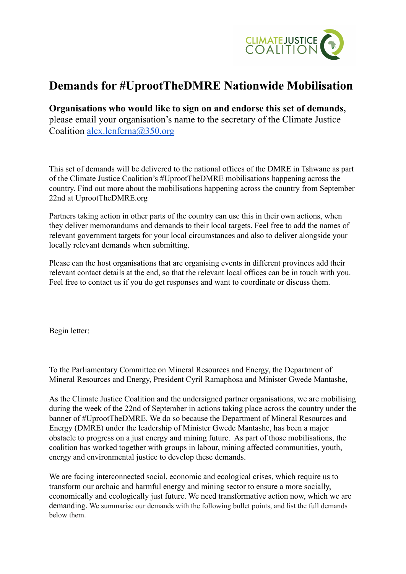

### **Demands for #UprootTheDMRE Nationwide Mobilisation**

#### **Organisations who would like to sign on and endorse this set of demands,**

please email your organisation's name to the secretary of the Climate Justice Coalition [alex.lenferna@350.org](mailto:alex.lenferna@350.org)

This set of demands will be delivered to the national offices of the DMRE in Tshwane as part of the Climate Justice Coalition's #UprootTheDMRE mobilisations happening across the country. Find out more about the mobilisations happening across the country from September 22nd at UprootTheDMRE.org

Partners taking action in other parts of the country can use this in their own actions, when they deliver memorandums and demands to their local targets. Feel free to add the names of relevant government targets for your local circumstances and also to deliver alongside your locally relevant demands when submitting.

Please can the host organisations that are organising events in different provinces add their relevant contact details at the end, so that the relevant local offices can be in touch with you. Feel free to contact us if you do get responses and want to coordinate or discuss them.

Begin letter:

To the Parliamentary Committee on Mineral Resources and Energy, the Department of Mineral Resources and Energy, President Cyril Ramaphosa and Minister Gwede Mantashe,

As the Climate Justice Coalition and the undersigned partner organisations, we are mobilising during the week of the 22nd of September in actions taking place across the country under the banner of #UprootTheDMRE. We do so because the Department of Mineral Resources and Energy (DMRE) under the leadership of Minister Gwede Mantashe, has been a major obstacle to progress on a just energy and mining future. As part of those mobilisations, the coalition has worked together with groups in labour, mining affected communities, youth, energy and environmental justice to develop these demands.

We are facing interconnected social, economic and ecological crises, which require us to transform our archaic and harmful energy and mining sector to ensure a more socially, economically and ecologically just future. We need transformative action now, which we are demanding. We summarise our demands with the following bullet points, and list the full demands below them.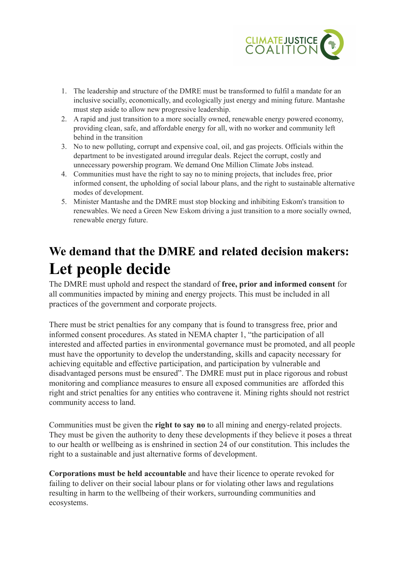

- 1. The leadership and structure of the DMRE must be transformed to fulfil a mandate for an inclusive socially, economically, and ecologically just energy and mining future. Mantashe must step aside to allow new progressive leadership.
- 2. A rapid and just transition to a more socially owned, renewable energy powered economy, providing clean, safe, and affordable energy for all, with no worker and community left behind in the transition
- 3. No to new polluting, corrupt and expensive coal, oil, and gas projects. Officials within the department to be investigated around irregular deals. Reject the corrupt, costly and unnecessary powership program. We demand One Million Climate Jobs instead.
- 4. Communities must have the right to say no to mining projects, that includes free, prior informed consent, the upholding of social labour plans, and the right to sustainable alternative modes of development.
- 5. Minister Mantashe and the DMRE must stop blocking and inhibiting Eskom's transition to renewables. We need a Green New Eskom driving a just transition to a more socially owned, renewable energy future.

# **We demand that the DMRE and related decision makers: Let people decide**

The DMRE must uphold and respect the standard of **free, prior and informed consent** for all communities impacted by mining and energy projects. This must be included in all practices of the government and corporate projects.

There must be strict penalties for any company that is found to transgress free, prior and informed consent procedures. As stated in NEMA chapter 1, "the participation of all interested and affected parties in environmental governance must be promoted, and all people must have the opportunity to develop the understanding, skills and capacity necessary for achieving equitable and effective participation, and participation by vulnerable and disadvantaged persons must be ensured". The DMRE must put in place rigorous and robust monitoring and compliance measures to ensure all exposed communities are afforded this right and strict penalties for any entities who contravene it. Mining rights should not restrict community access to land.

Communities must be given the **right to say no** to all mining and energy-related projects. They must be given the authority to deny these developments if they believe it poses a threat to our health or wellbeing as is enshrined in section 24 of our constitution. This includes the right to a sustainable and just alternative forms of development.

**Corporations must be held accountable** and have their licence to operate revoked for failing to deliver on their social labour plans or for violating other laws and regulations resulting in harm to the wellbeing of their workers, surrounding communities and ecosystems.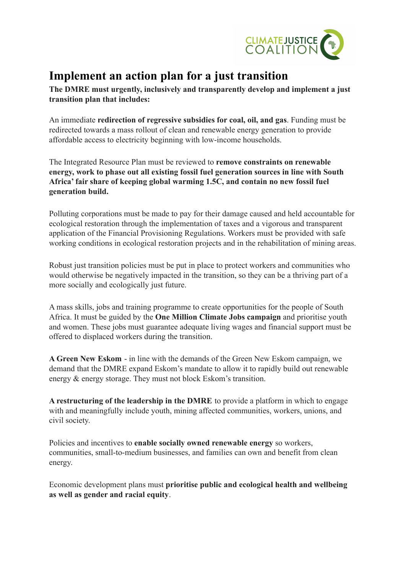

## **Implement an action plan for a just transition**

**The DMRE must urgently, inclusively and transparently develop and implement a just transition plan that includes:**

An immediate **redirection of regressive subsidies for coal, oil, and gas**. Funding must be redirected towards a mass rollout of clean and renewable energy generation to provide affordable access to electricity beginning with low-income households.

The Integrated Resource Plan must be reviewed to **remove constraints on renewable energy, work to phase out all existing fossil fuel generation sources in line with South Africa' fair share of keeping global warming 1.5C, and contain no new fossil fuel generation build.**

Polluting corporations must be made to pay for their damage caused and held accountable for ecological restoration through the implementation of taxes and a vigorous and transparent application of the Financial Provisioning Regulations. Workers must be provided with safe working conditions in ecological restoration projects and in the rehabilitation of mining areas.

Robust just transition policies must be put in place to protect workers and communities who would otherwise be negatively impacted in the transition, so they can be a thriving part of a more socially and ecologically just future.

A mass skills, jobs and training programme to create opportunities for the people of South Africa. It must be guided by the **One Million Climate Jobs campaign** and prioritise youth and women. These jobs must guarantee adequate living wages and financial support must be offered to displaced workers during the transition.

**A Green New Eskom** - in line with the demands of the Green New Eskom campaign, we demand that the DMRE expand Eskom's mandate to allow it to rapidly build out renewable energy & energy storage. They must not block Eskom's transition.

**A restructuring of the leadership in the DMRE** to provide a platform in which to engage with and meaningfully include youth, mining affected communities, workers, unions, and civil society.

Policies and incentives to **enable socially owned renewable energy** so workers, communities, small-to-medium businesses, and families can own and benefit from clean energy.

Economic development plans must **prioritise public and ecological health and wellbeing as well as gender and racial equity**.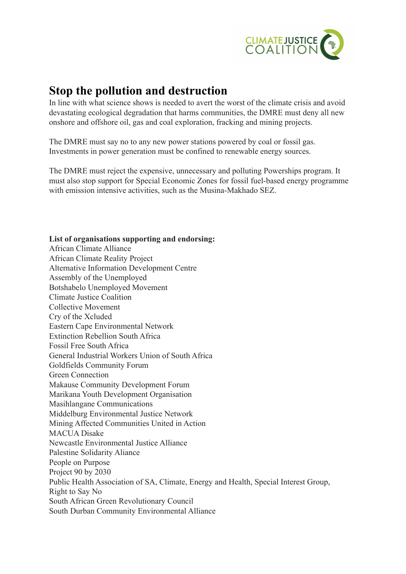

#### **Stop the pollution and destruction**

In line with what science shows is needed to avert the worst of the climate crisis and avoid devastating ecological degradation that harms communities, the DMRE must deny all new onshore and offshore oil, gas and coal exploration, fracking and mining projects.

The DMRE must say no to any new power stations powered by coal or fossil gas. Investments in power generation must be confined to renewable energy sources.

The DMRE must reject the expensive, unnecessary and polluting Powerships program. It must also stop support for Special Economic Zones for fossil fuel-based energy programme with emission intensive activities, such as the Musina-Makhado SEZ.

#### **List of organisations supporting and endorsing:**

African Climate Alliance African Climate Reality Project Alternative Information Development Centre Assembly of the Unemployed Botshabelo Unemployed Movement Climate Justice Coalition Collective Movement Cry of the Xcluded Eastern Cape Environmental Network Extinction Rebellion South Africa Fossil Free South Africa General Industrial Workers Union of South Africa Goldfields Community Forum Green Connection Makause Community Development Forum Marikana Youth Development Organisation Masihlangane Communications Middelburg Environmental Justice Network Mining Affected Communities United in Action MACUA Disake Newcastle Environmental Justice Alliance Palestine Solidarity Aliance People on Purpose Project 90 by 2030 Public Health Association of SA, Climate, Energy and Health, Special Interest Group, Right to Say No South African Green Revolutionary Council South Durban Community Environmental Alliance